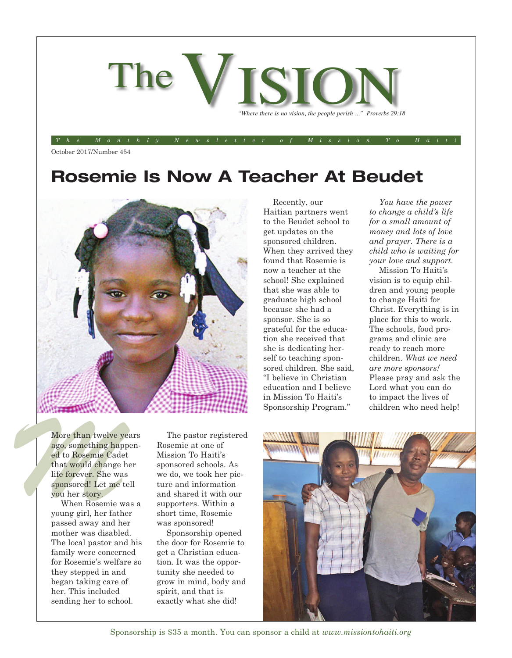

The Monthly Newsletter of Mission To Haiti

October 2017/Number 454

### **Rosemie Is Now A Teacher At Beudet**



More than twelve year ago, something happed to Rosemie Cadet that would change he life forever. She was sponsored! Let me te you her story. More than twelve years ago, something happened to Rosemie Cadet that would change her life forever. She was sponsored! Let me tell you her story.

When Rosemie was a young girl, her father passed away and her mother was disabled. The local pastor and his family were concerned for Rosemie's welfare so they stepped in and began taking care of her. This included sending her to school.

The pastor registered Rosemie at one of Mission To Haiti's sponsored schools. As we do, we took her picture and information and shared it with our supporters. Within a short time, Rosemie was sponsored!

Sponsorship opened the door for Rosemie to get a Christian education. It was the opportunity she needed to grow in mind, body and spirit, and that is exactly what she did!

Recently, our Haitian partners went to the Beudet school to get updates on the sponsored children. When they arrived they found that Rosemie is now a teacher at the school! She explained that she was able to graduate high school because she had a sponsor. She is so grateful for the education she received that she is dedicating herself to teaching sponsored children. She said, "I believe in Christian education and I believe in Mission To Haiti's Sponsorship Program."

*You have the power to change a child's life for a small amount of money and lots of love and prayer. There is a child who is waiting for your love and support.*

Mission To Haiti's vision is to equip children and young people to change Haiti for Christ. Everything is in place for this to work. The schools, food programs and clinic are ready to reach more children. *What we need are more sponsors!* Please pray and ask the Lord what you can do to impact the lives of children who need help!



Sponsorship is \$35 a month. You can sponsor a child at *www.missiontohaiti.org*